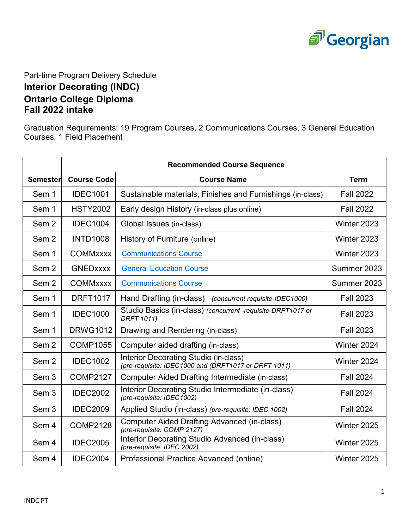

Part-time Program Delivery Schedule **Interior Decorating (INDC) Ontario College Diploma** 

## **Fall 2022 intake**

Graduation Requirements: 19 Program Courses, 2 Communications Courses, 3 General Education Courses, 1 Field Placement

|                  | <b>Recommended Course Sequence</b> |                                                                                                      |                  |  |
|------------------|------------------------------------|------------------------------------------------------------------------------------------------------|------------------|--|
| <b>Semester</b>  | <b>Course Code</b>                 | <b>Course Name</b>                                                                                   | <b>Term</b>      |  |
| Sem 1            | <b>IDEC1001</b>                    | Sustainable materials, Finishes and Furnishings (in-class)                                           | <b>Fall 2022</b> |  |
| Sem 1            | <b>HSTY2002</b>                    | Early design History (in-class plus online)                                                          | <b>Fall 2022</b> |  |
| Sem <sub>2</sub> | <b>IDEC1004</b>                    | Global Issues (in-class)                                                                             | Winter 2023      |  |
| Sem <sub>2</sub> | <b>INTD1008</b>                    | History of Furniture (online)                                                                        | Winter 2023      |  |
| Sem 1            | <b>COMMxxxx</b>                    | <b>Communications Course</b>                                                                         | Winter 2023      |  |
| Sem <sub>2</sub> | <b>GNEDXXXX</b>                    | <b>General Education Course</b>                                                                      | Summer 2023      |  |
| Sem <sub>2</sub> | <b>COMMxxxx</b>                    | <b>Communications Course</b>                                                                         | Summer 2023      |  |
| Sem 1            | <b>DRFT1017</b>                    | Hand Drafting (in-class)<br>(concurrent requisite-IDEC1000)                                          | <b>Fall 2023</b> |  |
| Sem 1            | <b>IDEC1000</b>                    | Studio Basics (in-class) (concurrent -requisite-DRFT1017 or<br><b>DRFT 1011)</b>                     | <b>Fall 2023</b> |  |
| Sem 1            | <b>DRWG1012</b>                    | Drawing and Rendering (in-class)                                                                     | <b>Fall 2023</b> |  |
| Sem <sub>2</sub> | <b>COMP1055</b>                    | Computer aided drafting (in-class)                                                                   | Winter 2024      |  |
| Sem <sub>2</sub> | <b>IDEC1002</b>                    | <b>Interior Decorating Studio (in-class)</b><br>(pre-requisite: IDEC1000 and (DRFT1017 or DRFT 1011) | Winter 2024      |  |
| Sem <sub>3</sub> | <b>COMP2127</b>                    | <b>Computer Aided Drafting Intermediate (in-class)</b>                                               | <b>Fall 2024</b> |  |
| Sem 3            | <b>IDEC2002</b>                    | Interior Decorating Studio Intermediate (in-class)<br>(pre-requisite: IDEC1002)                      | <b>Fall 2024</b> |  |
| Sem 3            | <b>IDEC2009</b>                    | Applied Studio (in-class) (pre-requisite: IDEC 1002)                                                 | <b>Fall 2024</b> |  |
| Sem 4            | <b>COMP2128</b>                    | <b>Computer Aided Drafting Advanced (in-class)</b><br>(pre-requisite: COMP 2127)                     | Winter 2025      |  |
| Sem 4            | <b>IDEC2005</b>                    | Interior Decorating Studio Advanced (in-class)<br>(pre-requisite: IDEC 2002)                         | Winter 2025      |  |
| Sem 4            | <b>IDEC2004</b>                    | Professional Practice Advanced (online)                                                              | Winter 2025      |  |